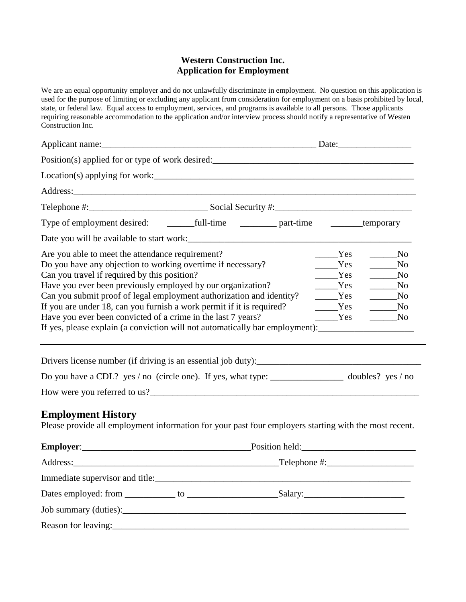#### **Western Construction Inc. Application for Employment**

We are an equal opportunity employer and do not unlawfully discriminate in employment. No question on this application is used for the purpose of limiting or excluding any applicant from consideration for employment on a basis prohibited by local, state, or federal law. Equal access to employment, services, and programs is available to all persons. Those applicants requiring reasonable accommodation to the application and/or interview process should notify a representative of Westen Construction Inc.

| Position(s) applied for or type of work desired:<br><u>equal</u> the same control of the same control of the same control of the same control of the same control of the same control of the same control of the same control of the                                                                                                                                                                                                                                                                                                                    |  |  |                                               |                                                                                                                                                               |  |
|---------------------------------------------------------------------------------------------------------------------------------------------------------------------------------------------------------------------------------------------------------------------------------------------------------------------------------------------------------------------------------------------------------------------------------------------------------------------------------------------------------------------------------------------------------|--|--|-----------------------------------------------|---------------------------------------------------------------------------------------------------------------------------------------------------------------|--|
| $Location(s)$ applying for work: $\_\_\_\_\_\_\_\_\_\_\_\_\_\_\_\_\_\_\_$                                                                                                                                                                                                                                                                                                                                                                                                                                                                               |  |  |                                               |                                                                                                                                                               |  |
|                                                                                                                                                                                                                                                                                                                                                                                                                                                                                                                                                         |  |  |                                               |                                                                                                                                                               |  |
|                                                                                                                                                                                                                                                                                                                                                                                                                                                                                                                                                         |  |  |                                               |                                                                                                                                                               |  |
|                                                                                                                                                                                                                                                                                                                                                                                                                                                                                                                                                         |  |  |                                               |                                                                                                                                                               |  |
|                                                                                                                                                                                                                                                                                                                                                                                                                                                                                                                                                         |  |  |                                               |                                                                                                                                                               |  |
| Are you able to meet the attendance requirement?<br>Do you have any objection to working overtime if necessary?<br>Can you travel if required by this position?<br>Have you ever been previously employed by our organization?<br>Can you submit proof of legal employment authorization and identity?<br>If you are under 18, can you furnish a work permit if it is required?<br>Have you ever been convicted of a crime in the last 7 years?<br>If yes, please explain (a conviction will not automatically bar employment): _______________________ |  |  | Yes<br>Yes<br>Yes<br>Yes<br>Yes<br>Yes<br>Yes | $\overline{\phantom{1}}$ No<br>$\overline{\phantom{1}}$ No<br>$\rule{1em}{0.15mm}$ No<br>N <sub>0</sub><br>N <sub>0</sub><br>N <sub>0</sub><br>N <sub>0</sub> |  |
| Do you have a CDL? yes / no (circle one). If yes, what type: _________________ doubles? yes / no                                                                                                                                                                                                                                                                                                                                                                                                                                                        |  |  |                                               |                                                                                                                                                               |  |
| <b>Employment History</b><br>Please provide all employment information for your past four employers starting with the most recent.                                                                                                                                                                                                                                                                                                                                                                                                                      |  |  |                                               |                                                                                                                                                               |  |
|                                                                                                                                                                                                                                                                                                                                                                                                                                                                                                                                                         |  |  |                                               |                                                                                                                                                               |  |
|                                                                                                                                                                                                                                                                                                                                                                                                                                                                                                                                                         |  |  |                                               |                                                                                                                                                               |  |
|                                                                                                                                                                                                                                                                                                                                                                                                                                                                                                                                                         |  |  |                                               |                                                                                                                                                               |  |
|                                                                                                                                                                                                                                                                                                                                                                                                                                                                                                                                                         |  |  |                                               |                                                                                                                                                               |  |
|                                                                                                                                                                                                                                                                                                                                                                                                                                                                                                                                                         |  |  |                                               |                                                                                                                                                               |  |
|                                                                                                                                                                                                                                                                                                                                                                                                                                                                                                                                                         |  |  |                                               |                                                                                                                                                               |  |
|                                                                                                                                                                                                                                                                                                                                                                                                                                                                                                                                                         |  |  |                                               |                                                                                                                                                               |  |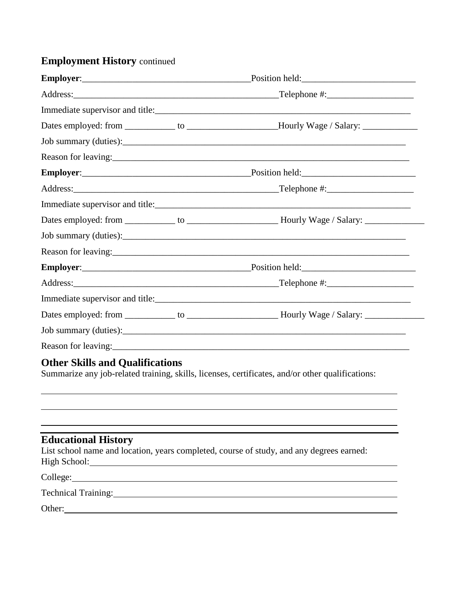## **Employment History** continued

|  | Dates employed: from ____________ to ___________________Hourly Wage / Salary: _____________________                                                                                                                           |  |
|--|-------------------------------------------------------------------------------------------------------------------------------------------------------------------------------------------------------------------------------|--|
|  |                                                                                                                                                                                                                               |  |
|  |                                                                                                                                                                                                                               |  |
|  |                                                                                                                                                                                                                               |  |
|  |                                                                                                                                                                                                                               |  |
|  |                                                                                                                                                                                                                               |  |
|  |                                                                                                                                                                                                                               |  |
|  |                                                                                                                                                                                                                               |  |
|  | Reason for leaving: 1992. The contract of the contract of the contract of the contract of the contract of the contract of the contract of the contract of the contract of the contract of the contract of the contract of the |  |
|  |                                                                                                                                                                                                                               |  |
|  |                                                                                                                                                                                                                               |  |
|  |                                                                                                                                                                                                                               |  |
|  |                                                                                                                                                                                                                               |  |
|  |                                                                                                                                                                                                                               |  |
|  |                                                                                                                                                                                                                               |  |

# **Other Skills and Qualifications**

Summarize any job-related training, skills, licenses, certificates, and/or other qualifications:

# **Educational History**

List school name and location, years completed, course of study, and any degrees earned: High School: **High School: High School: High School: High School: High School: High School: High School: High School: High School: High School: High School: High School: High School: High School:** 

College:

Technical Training: Technical Training:

Other: